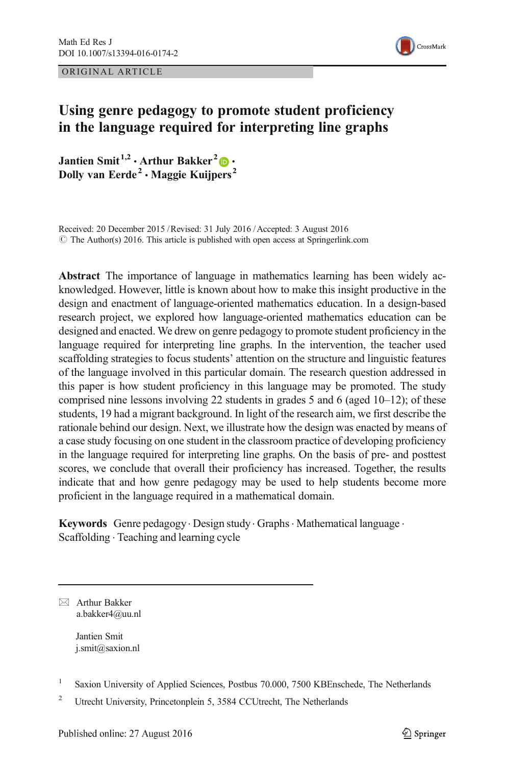ORIGINAL ARTICLE



# Using genre pedagogy to promote student proficiency in the language required for interpreting line graphs

Jantien Smit<sup>1,2</sup> · Arthur Bakker<sup>2</sup>  $\bullet$  · Dolly van Eerde<sup>2</sup>  $\cdot$  Maggie Kuijpers<sup>2</sup>

Received: 20 December 2015 /Revised: 31 July 2016 /Accepted: 3 August 2016  $\odot$  The Author(s) 2016. This article is published with open access at Springerlink.com

Abstract The importance of language in mathematics learning has been widely acknowledged. However, little is known about how to make this insight productive in the design and enactment of language-oriented mathematics education. In a design-based research project, we explored how language-oriented mathematics education can be designed and enacted. We drew on genre pedagogy to promote student proficiency in the language required for interpreting line graphs. In the intervention, the teacher used scaffolding strategies to focus students' attention on the structure and linguistic features of the language involved in this particular domain. The research question addressed in this paper is how student proficiency in this language may be promoted. The study comprised nine lessons involving 22 students in grades 5 and 6 (aged  $10-12$ ); of these students, 19 had a migrant background. In light of the research aim, we first describe the rationale behind our design. Next, we illustrate how the design was enacted by means of a case study focusing on one student in the classroom practice of developing proficiency in the language required for interpreting line graphs. On the basis of pre- and posttest scores, we conclude that overall their proficiency has increased. Together, the results indicate that and how genre pedagogy may be used to help students become more proficient in the language required in a mathematical domain.

Keywords Genre pedagogy · Design study · Graphs · Mathematical language · Scaffolding . Teaching and learning cycle

 $\boxtimes$  Arthur Bakker a.bakker4@uu.nl

> Jantien Smit j.smit@saxion.nl

<sup>&</sup>lt;sup>1</sup> Saxion University of Applied Sciences, Postbus 70.000, 7500 KBEnschede, The Netherlands

<sup>&</sup>lt;sup>2</sup> Utrecht University, Princetonplein 5, 3584 CCUtrecht, The Netherlands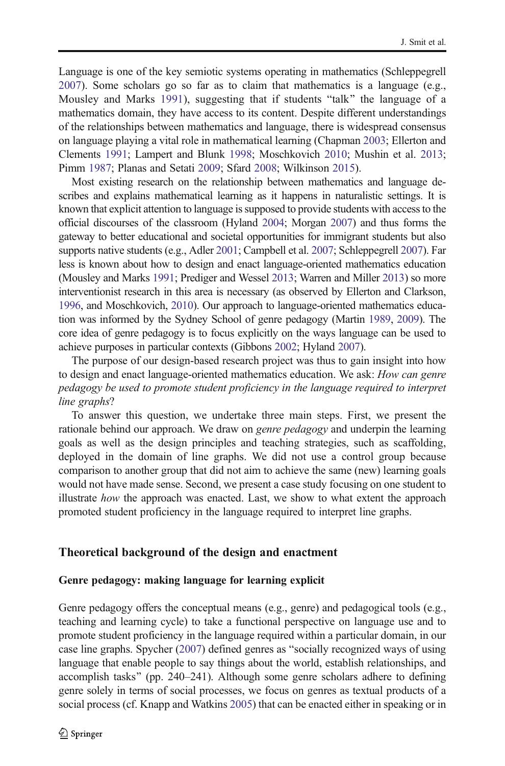<span id="page-1-0"></span>Language is one of the key semiotic systems operating in mathematics (Schleppegrell [2007\)](#page-20-0). Some scholars go so far as to claim that mathematics is a language (e.g., Mousley and Marks [1991\)](#page-20-0), suggesting that if students "talk" the language of a mathematics domain, they have access to its content. Despite different understandings of the relationships between mathematics and language, there is widespread consensus on language playing a vital role in mathematical learning (Chapman [2003;](#page-19-0) Ellerton and Clements [1991;](#page-19-0) Lampert and Blunk [1998](#page-20-0); Moschkovich [2010](#page-20-0); Mushin et al. [2013;](#page-20-0) Pimm [1987;](#page-20-0) Planas and Setati [2009;](#page-20-0) Sfard [2008;](#page-21-0) Wilkinson [2015](#page-21-0)).

Most existing research on the relationship between mathematics and language describes and explains mathematical learning as it happens in naturalistic settings. It is known that explicit attention to language is supposed to provide students with access to the official discourses of the classroom (Hyland [2004](#page-20-0); Morgan [2007\)](#page-20-0) and thus forms the gateway to better educational and societal opportunities for immigrant students but also supports native students (e.g., Adler [2001](#page-19-0); Campbell et al. [2007](#page-19-0); Schleppegrell [2007](#page-20-0)). Far less is known about how to design and enact language-oriented mathematics education (Mousley and Marks [1991](#page-20-0); Prediger and Wessel [2013;](#page-20-0) Warren and Miller [2013](#page-21-0)) so more interventionist research in this area is necessary (as observed by Ellerton and Clarkson, [1996](#page-19-0), and Moschkovich, [2010](#page-20-0)). Our approach to language-oriented mathematics education was informed by the Sydney School of genre pedagogy (Martin [1989](#page-20-0), [2009\)](#page-20-0). The core idea of genre pedagogy is to focus explicitly on the ways language can be used to achieve purposes in particular contexts (Gibbons [2002](#page-19-0); Hyland [2007](#page-20-0)).

The purpose of our design-based research project was thus to gain insight into how to design and enact language-oriented mathematics education. We ask: How can genre pedagogy be used to promote student proficiency in the language required to interpret line graphs?

To answer this question, we undertake three main steps. First, we present the rationale behind our approach. We draw on *genre pedagogy* and underpin the learning goals as well as the design principles and teaching strategies, such as scaffolding, deployed in the domain of line graphs. We did not use a control group because comparison to another group that did not aim to achieve the same (new) learning goals would not have made sense. Second, we present a case study focusing on one student to illustrate how the approach was enacted. Last, we show to what extent the approach promoted student proficiency in the language required to interpret line graphs.

### Theoretical background of the design and enactment

## Genre pedagogy: making language for learning explicit

Genre pedagogy offers the conceptual means (e.g., genre) and pedagogical tools (e.g., teaching and learning cycle) to take a functional perspective on language use and to promote student proficiency in the language required within a particular domain, in our case line graphs. Spycher  $(2007)$  $(2007)$  $(2007)$  defined genres as "socially recognized ways of using language that enable people to say things about the world, establish relationships, and accomplish tasks" (pp.  $240-241$ ). Although some genre scholars adhere to defining genre solely in terms of social processes, we focus on genres as textual products of a social process (cf. Knapp and Watkins [2005\)](#page-20-0) that can be enacted either in speaking or in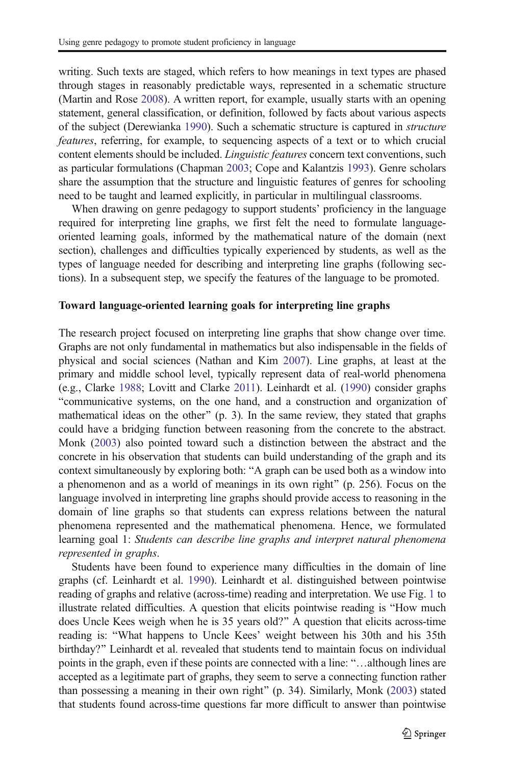writing. Such texts are staged, which refers to how meanings in text types are phased through stages in reasonably predictable ways, represented in a schematic structure (Martin and Rose [2008](#page-20-0)). A written report, for example, usually starts with an opening statement, general classification, or definition, followed by facts about various aspects of the subject (Derewianka [1990](#page-19-0)). Such a schematic structure is captured in structure features, referring, for example, to sequencing aspects of a text or to which crucial content elements should be included. Linguistic features concern text conventions, such as particular formulations (Chapman [2003;](#page-19-0) Cope and Kalantzis [1993\)](#page-19-0). Genre scholars share the assumption that the structure and linguistic features of genres for schooling need to be taught and learned explicitly, in particular in multilingual classrooms.

When drawing on genre pedagogy to support students' proficiency in the language required for interpreting line graphs, we first felt the need to formulate languageoriented learning goals, informed by the mathematical nature of the domain (next section), challenges and difficulties typically experienced by students, as well as the types of language needed for describing and interpreting line graphs (following sections). In a subsequent step, we specify the features of the language to be promoted.

#### Toward language-oriented learning goals for interpreting line graphs

The research project focused on interpreting line graphs that show change over time. Graphs are not only fundamental in mathematics but also indispensable in the fields of physical and social sciences (Nathan and Kim [2007](#page-20-0)). Line graphs, at least at the primary and middle school level, typically represent data of real-world phenomena (e.g., Clarke [1988](#page-19-0); Lovitt and Clarke [2011\)](#page-20-0). Leinhardt et al. ([1990](#page-20-0)) consider graphs "communicative systems, on the one hand, and a construction and organization of mathematical ideas on the other"  $(p. 3)$ . In the same review, they stated that graphs could have a bridging function between reasoning from the concrete to the abstract. Monk [\(2003\)](#page-20-0) also pointed toward such a distinction between the abstract and the concrete in his observation that students can build understanding of the graph and its context simultaneously by exploring both: "A graph can be used both as a window into a phenomenon and as a world of meanings in its own right^ (p. 256). Focus on the language involved in interpreting line graphs should provide access to reasoning in the domain of line graphs so that students can express relations between the natural phenomena represented and the mathematical phenomena. Hence, we formulated learning goal 1: Students can describe line graphs and interpret natural phenomena represented in graphs.

Students have been found to experience many difficulties in the domain of line graphs (cf. Leinhardt et al. [1990](#page-20-0)). Leinhardt et al. distinguished between pointwise reading of graphs and relative (across-time) reading and interpretation. We use Fig. [1](#page-3-0) to illustrate related difficulties. A question that elicits pointwise reading is "How much does Uncle Kees weigh when he is 35 years old?^ A question that elicits across-time reading is: "What happens to Uncle Kees' weight between his 30th and his 35th birthday?" Leinhardt et al. revealed that students tend to maintain focus on individual points in the graph, even if these points are connected with a line: "...although lines are accepted as a legitimate part of graphs, they seem to serve a connecting function rather than possessing a meaning in their own right^ (p. 34). Similarly, Monk [\(2003\)](#page-20-0) stated that students found across-time questions far more difficult to answer than pointwise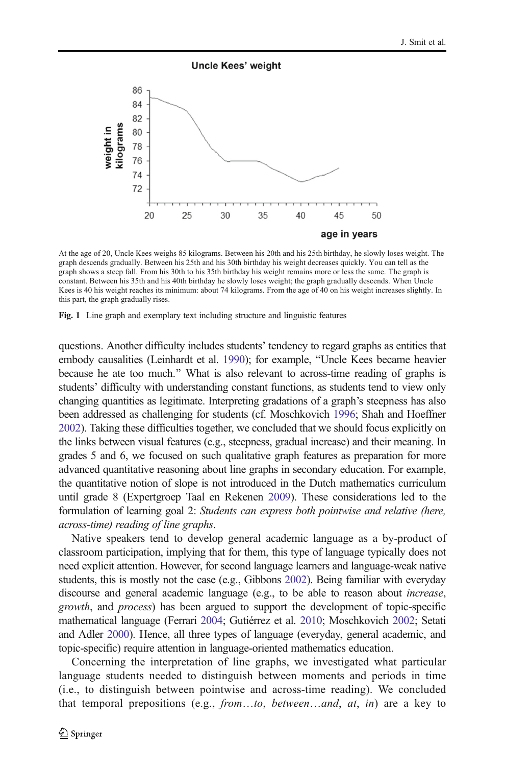#### **Uncle Kees' weight**

<span id="page-3-0"></span>

At the age of 20, Uncle Kees weighs 85 kilograms. Between his 20th and his 25th birthday, he slowly loses weight. The graph descends gradually. Between his 25th and his 30th birthday his weight decreases quickly. You can tell as the graph shows a steep fall. From his 30th to his 35th birthday his weight remains more or less the same. The graph is constant. Between his 35th and his 40th birthday he slowly loses weight; the graph gradually descends. When Uncle Kees is 40 his weight reaches its minimum: about 74 kilograms. From the age of 40 on his weight increases slightly. In this part, the graph gradually rises.

Fig. 1 Line graph and exemplary text including structure and linguistic features

questions. Another difficulty includes students' tendency to regard graphs as entities that embody causalities (Leinhardt et al. [1990](#page-20-0)); for example, "Uncle Kees became heavier because he ate too much.^ What is also relevant to across-time reading of graphs is students' difficulty with understanding constant functions, as students tend to view only changing quantities as legitimate. Interpreting gradations of a graph's steepness has also been addressed as challenging for students (cf. Moschkovich [1996](#page-20-0); Shah and Hoeffner [2002](#page-21-0)). Taking these difficulties together, we concluded that we should focus explicitly on the links between visual features (e.g., steepness, gradual increase) and their meaning. In grades 5 and 6, we focused on such qualitative graph features as preparation for more advanced quantitative reasoning about line graphs in secondary education. For example, the quantitative notion of slope is not introduced in the Dutch mathematics curriculum until grade 8 (Expertgroep Taal en Rekenen [2009\)](#page-20-0). These considerations led to the formulation of learning goal 2: Students can express both pointwise and relative (here, across-time) reading of line graphs.

Native speakers tend to develop general academic language as a by-product of classroom participation, implying that for them, this type of language typically does not need explicit attention. However, for second language learners and language-weak native students, this is mostly not the case (e.g., Gibbons [2002](#page-19-0)). Being familiar with everyday discourse and general academic language (e.g., to be able to reason about *increase*, growth, and process) has been argued to support the development of topic-specific mathematical language (Ferrari [2004;](#page-19-0) Gutiérrez et al. [2010](#page-20-0); Moschkovich [2002;](#page-20-0) Setati and Adler [2000](#page-20-0)). Hence, all three types of language (everyday, general academic, and topic-specific) require attention in language-oriented mathematics education.

Concerning the interpretation of line graphs, we investigated what particular language students needed to distinguish between moments and periods in time (i.e., to distinguish between pointwise and across-time reading). We concluded that temporal prepositions (e.g., *from*...to, *between...and*, *at*, *in*) are a key to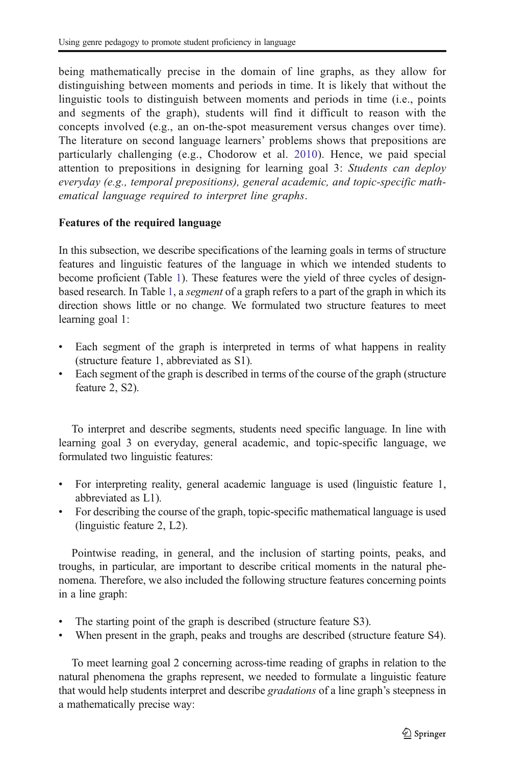being mathematically precise in the domain of line graphs, as they allow for distinguishing between moments and periods in time. It is likely that without the linguistic tools to distinguish between moments and periods in time (i.e., points and segments of the graph), students will find it difficult to reason with the concepts involved (e.g., an on-the-spot measurement versus changes over time). The literature on second language learners' problems shows that prepositions are particularly challenging (e.g., Chodorow et al. [2010\)](#page-19-0). Hence, we paid special attention to prepositions in designing for learning goal 3: Students can deploy everyday (e.g., temporal prepositions), general academic, and topic-specific mathematical language required to interpret line graphs.

### Features of the required language

In this subsection, we describe specifications of the learning goals in terms of structure features and linguistic features of the language in which we intended students to become proficient (Table [1](#page-5-0)). These features were the yield of three cycles of designbased research. In Table [1,](#page-5-0) a segment of a graph refers to a part of the graph in which its direction shows little or no change. We formulated two structure features to meet learning goal 1:

- Each segment of the graph is interpreted in terms of what happens in reality (structure feature 1, abbreviated as S1).
- & Each segment of the graph is described in terms of the course of the graph (structure feature 2, S2).

To interpret and describe segments, students need specific language. In line with learning goal 3 on everyday, general academic, and topic-specific language, we formulated two linguistic features:

- & For interpreting reality, general academic language is used (linguistic feature 1, abbreviated as L1).
- & For describing the course of the graph, topic-specific mathematical language is used (linguistic feature 2, L2).

Pointwise reading, in general, and the inclusion of starting points, peaks, and troughs, in particular, are important to describe critical moments in the natural phenomena. Therefore, we also included the following structure features concerning points in a line graph:

- The starting point of the graph is described (structure feature S3).
- When present in the graph, peaks and troughs are described (structure feature S4).

To meet learning goal 2 concerning across-time reading of graphs in relation to the natural phenomena the graphs represent, we needed to formulate a linguistic feature that would help students interpret and describe gradations of a line graph's steepness in a mathematically precise way: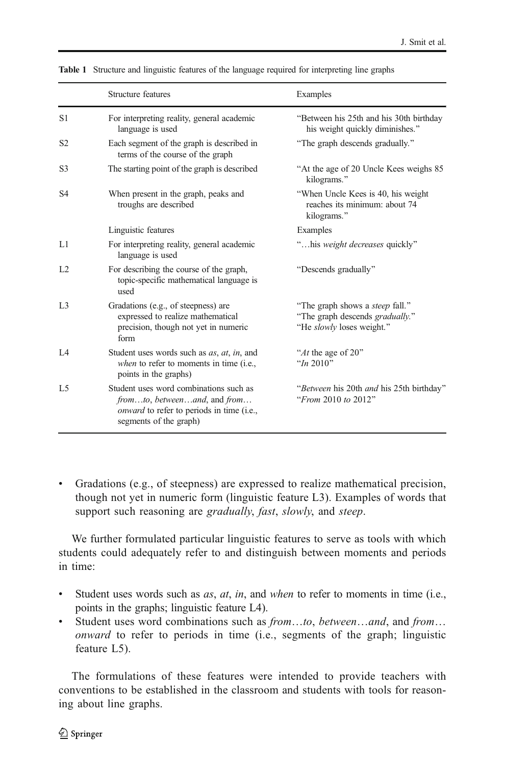|                | Structure features                                                                                                                                   | Examples                                                                                               |
|----------------|------------------------------------------------------------------------------------------------------------------------------------------------------|--------------------------------------------------------------------------------------------------------|
| S1             | For interpreting reality, general academic<br>language is used                                                                                       | "Between his 25th and his 30th birthday<br>his weight quickly diminishes."                             |
| S <sub>2</sub> | Each segment of the graph is described in<br>terms of the course of the graph                                                                        | "The graph descends gradually."                                                                        |
| S <sub>3</sub> | The starting point of the graph is described                                                                                                         | "At the age of 20 Uncle Kees weighs 85<br>kilograms."                                                  |
| S <sub>4</sub> | When present in the graph, peaks and<br>troughs are described                                                                                        | "When Uncle Kees is 40, his weight<br>reaches its minimum: about 74<br>kilograms."                     |
|                | Linguistic features                                                                                                                                  | Examples                                                                                               |
| L1             | For interpreting reality, general academic<br>language is used                                                                                       | "his weight decreases quickly"                                                                         |
| L <sub>2</sub> | For describing the course of the graph,<br>topic-specific mathematical language is<br>used                                                           | "Descends gradually"                                                                                   |
| L <sub>3</sub> | Gradations (e.g., of steepness) are<br>expressed to realize mathematical<br>precision, though not yet in numeric<br>form                             | "The graph shows a <i>steep</i> fall."<br>"The graph descends gradually."<br>"He slowly loses weight." |
| IA             | Student uses words such as <i>as</i> , <i>at</i> , <i>in</i> , and<br>when to refer to moments in time (i.e.,<br>points in the graphs)               | "At the age of 20"<br>" $In 2010"$                                                                     |
| L <sub>5</sub> | Student uses word combinations such as<br>fromto, betweenand, and from<br><i>onward</i> to refer to periods in time (i.e.,<br>segments of the graph) | "Between his 20th and his 25th birthday"<br>"From 2010 to 2012"                                        |

<span id="page-5-0"></span>Table 1 Structure and linguistic features of the language required for interpreting line graphs

Gradations (e.g., of steepness) are expressed to realize mathematical precision, though not yet in numeric form (linguistic feature L3). Examples of words that support such reasoning are *gradually*, *fast*, *slowly*, and *steep*.

We further formulated particular linguistic features to serve as tools with which students could adequately refer to and distinguish between moments and periods in time:

- $\bullet$  Student uses words such as *as, at, in, and when to refer to moments in time (i.e.,* points in the graphs; linguistic feature L4).
- & Student uses word combinations such as from…to, between…and, and from… onward to refer to periods in time (i.e., segments of the graph; linguistic feature L5).

The formulations of these features were intended to provide teachers with conventions to be established in the classroom and students with tools for reasoning about line graphs.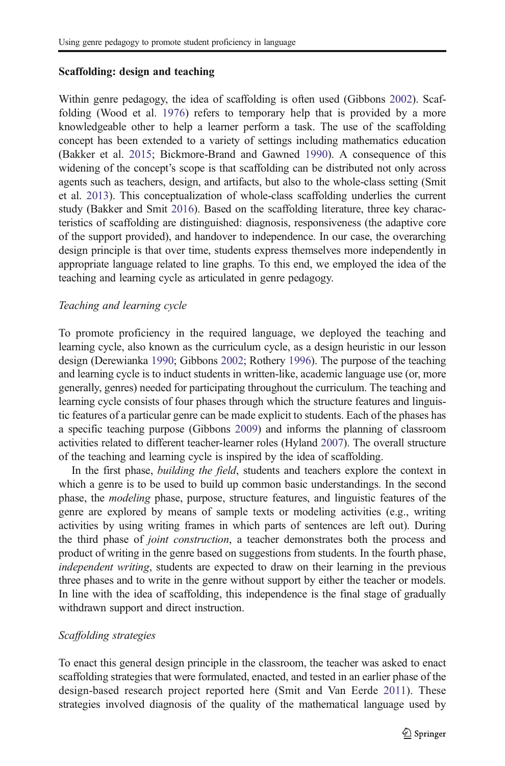#### Scaffolding: design and teaching

Within genre pedagogy, the idea of scaffolding is often used (Gibbons [2002\)](#page-19-0). Scaffolding (Wood et al. [1976](#page-21-0)) refers to temporary help that is provided by a more knowledgeable other to help a learner perform a task. The use of the scaffolding concept has been extended to a variety of settings including mathematics education (Bakker et al. [2015](#page-19-0); Bickmore-Brand and Gawned [1990](#page-19-0)). A consequence of this widening of the concept's scope is that scaffolding can be distributed not only across agents such as teachers, design, and artifacts, but also to the whole-class setting (Smit et al. [2013\)](#page-21-0). This conceptualization of whole-class scaffolding underlies the current study (Bakker and Smit [2016\)](#page-19-0). Based on the scaffolding literature, three key characteristics of scaffolding are distinguished: diagnosis, responsiveness (the adaptive core of the support provided), and handover to independence. In our case, the overarching design principle is that over time, students express themselves more independently in appropriate language related to line graphs. To this end, we employed the idea of the teaching and learning cycle as articulated in genre pedagogy.

### Teaching and learning cycle

To promote proficiency in the required language, we deployed the teaching and learning cycle, also known as the curriculum cycle, as a design heuristic in our lesson design (Derewianka [1990](#page-19-0); Gibbons [2002;](#page-19-0) Rothery [1996\)](#page-20-0). The purpose of the teaching and learning cycle is to induct students in written-like, academic language use (or, more generally, genres) needed for participating throughout the curriculum. The teaching and learning cycle consists of four phases through which the structure features and linguistic features of a particular genre can be made explicit to students. Each of the phases has a specific teaching purpose (Gibbons [2009](#page-19-0)) and informs the planning of classroom activities related to different teacher-learner roles (Hyland [2007\)](#page-20-0). The overall structure of the teaching and learning cycle is inspired by the idea of scaffolding.

In the first phase, *building the field*, students and teachers explore the context in which a genre is to be used to build up common basic understandings. In the second phase, the modeling phase, purpose, structure features, and linguistic features of the genre are explored by means of sample texts or modeling activities (e.g., writing activities by using writing frames in which parts of sentences are left out). During the third phase of joint construction, a teacher demonstrates both the process and product of writing in the genre based on suggestions from students. In the fourth phase, independent writing, students are expected to draw on their learning in the previous three phases and to write in the genre without support by either the teacher or models. In line with the idea of scaffolding, this independence is the final stage of gradually withdrawn support and direct instruction.

### Scaffolding strategies

To enact this general design principle in the classroom, the teacher was asked to enact scaffolding strategies that were formulated, enacted, and tested in an earlier phase of the design-based research project reported here (Smit and Van Eerde [2011\)](#page-21-0). These strategies involved diagnosis of the quality of the mathematical language used by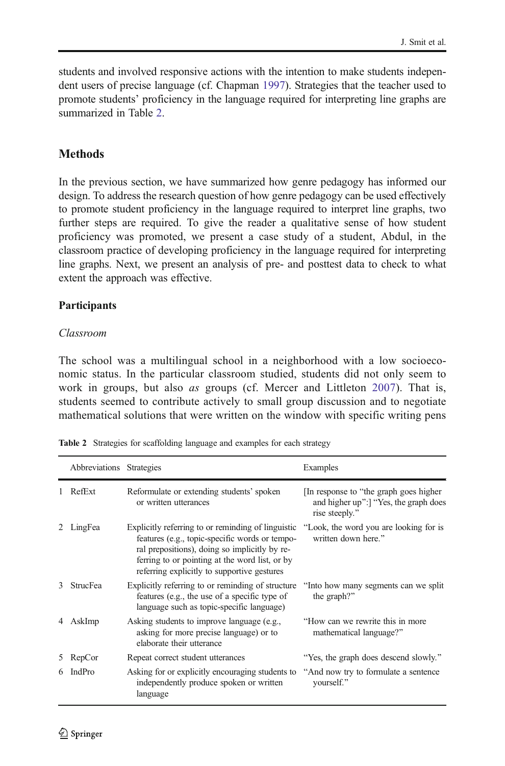students and involved responsive actions with the intention to make students independent users of precise language (cf. Chapman [1997](#page-19-0)). Strategies that the teacher used to promote students' proficiency in the language required for interpreting line graphs are summarized in Table 2.

### **Methods**

In the previous section, we have summarized how genre pedagogy has informed our design. To address the research question of how genre pedagogy can be used effectively to promote student proficiency in the language required to interpret line graphs, two further steps are required. To give the reader a qualitative sense of how student proficiency was promoted, we present a case study of a student, Abdul, in the classroom practice of developing proficiency in the language required for interpreting line graphs. Next, we present an analysis of pre- and posttest data to check to what extent the approach was effective.

### Participants

#### Classroom

The school was a multilingual school in a neighborhood with a low socioeconomic status. In the particular classroom studied, students did not only seem to work in groups, but also *as* groups (cf. Mercer and Littleton [2007\)](#page-20-0). That is, students seemed to contribute actively to small group discussion and to negotiate mathematical solutions that were written on the window with specific writing pens

|   | Abbreviations Strategies |                                                                                                                                                                                                                                                        | Examples                                                                                        |
|---|--------------------------|--------------------------------------------------------------------------------------------------------------------------------------------------------------------------------------------------------------------------------------------------------|-------------------------------------------------------------------------------------------------|
|   | RefExt                   | Reformulate or extending students' spoken<br>or written utterances                                                                                                                                                                                     | In response to "the graph goes higher<br>and higher up": "Yes, the graph does<br>rise steeply." |
|   | LingFea                  | Explicitly referring to or reminding of linguistic<br>features (e.g., topic-specific words or tempo-<br>ral prepositions), doing so implicitly by re-<br>ferring to or pointing at the word list, or by<br>referring explicitly to supportive gestures | "Look, the word you are looking for is<br>written down here."                                   |
| 3 | <b>StrucFea</b>          | Explicitly referring to or reminding of structure<br>features (e.g., the use of a specific type of<br>language such as topic-specific language)                                                                                                        | "Into how many segments can we split<br>the graph?"                                             |
|   | AskImp                   | Asking students to improve language (e.g.,<br>asking for more precise language) or to<br>elaborate their utterance                                                                                                                                     | "How can we rewrite this in more"<br>mathematical language?"                                    |
| 5 | RepCor                   | Repeat correct student utterances                                                                                                                                                                                                                      | "Yes, the graph does descend slowly."                                                           |
| 6 | IndPro                   | Asking for or explicitly encouraging students to<br>independently produce spoken or written<br>language                                                                                                                                                | "And now try to formulate a sentence"<br>yourself."                                             |

Table 2 Strategies for scaffolding language and examples for each strategy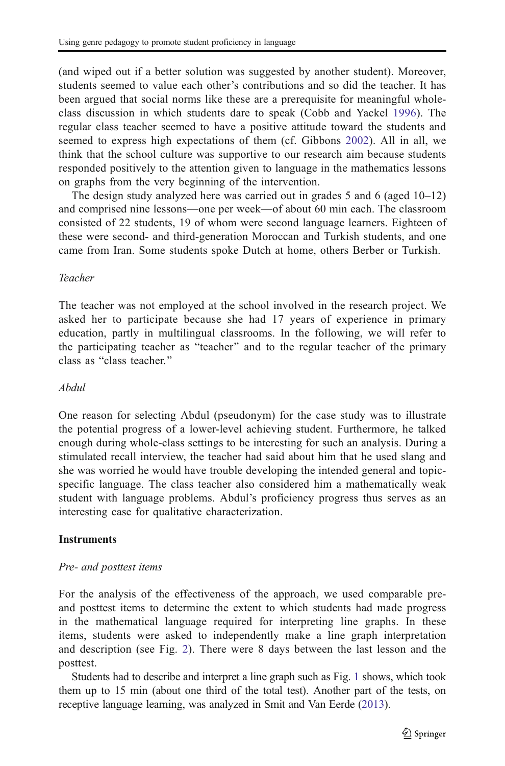(and wiped out if a better solution was suggested by another student). Moreover, students seemed to value each other's contributions and so did the teacher. It has been argued that social norms like these are a prerequisite for meaningful wholeclass discussion in which students dare to speak (Cobb and Yackel [1996\)](#page-19-0). The regular class teacher seemed to have a positive attitude toward the students and seemed to express high expectations of them (cf. Gibbons [2002](#page-19-0)). All in all, we think that the school culture was supportive to our research aim because students responded positively to the attention given to language in the mathematics lessons on graphs from the very beginning of the intervention.

The design study analyzed here was carried out in grades 5 and 6 (aged 10–12) and comprised nine lessons—one per week—of about 60 min each. The classroom consisted of 22 students, 19 of whom were second language learners. Eighteen of these were second- and third-generation Moroccan and Turkish students, and one came from Iran. Some students spoke Dutch at home, others Berber or Turkish.

### Teacher

The teacher was not employed at the school involved in the research project. We asked her to participate because she had 17 years of experience in primary education, partly in multilingual classrooms. In the following, we will refer to the participating teacher as "teacher" and to the regular teacher of the primary class as "class teacher."

### Abdul

One reason for selecting Abdul (pseudonym) for the case study was to illustrate the potential progress of a lower-level achieving student. Furthermore, he talked enough during whole-class settings to be interesting for such an analysis. During a stimulated recall interview, the teacher had said about him that he used slang and she was worried he would have trouble developing the intended general and topicspecific language. The class teacher also considered him a mathematically weak student with language problems. Abdul's proficiency progress thus serves as an interesting case for qualitative characterization.

### **Instruments**

## Pre- and posttest items

For the analysis of the effectiveness of the approach, we used comparable preand posttest items to determine the extent to which students had made progress in the mathematical language required for interpreting line graphs. In these items, students were asked to independently make a line graph interpretation and description (see Fig. [2\)](#page-9-0). There were 8 days between the last lesson and the posttest.

Students had to describe and interpret a line graph such as Fig. [1](#page-3-0) shows, which took them up to 15 min (about one third of the total test). Another part of the tests, on receptive language learning, was analyzed in Smit and Van Eerde [\(2013\)](#page-21-0).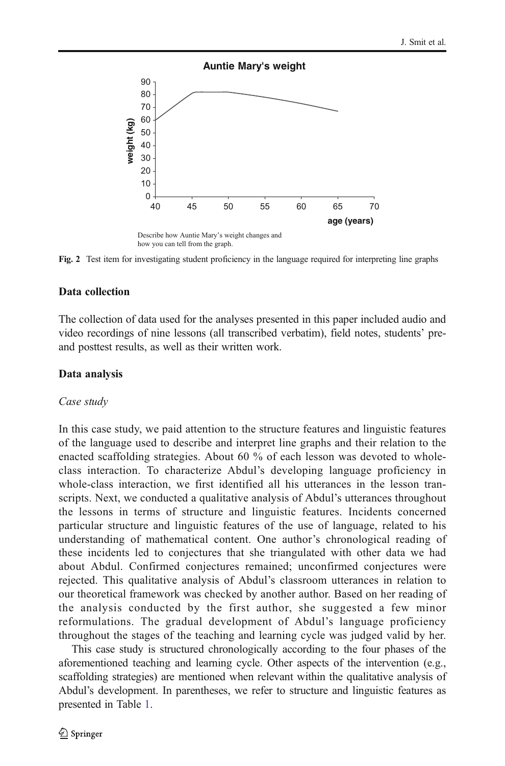<span id="page-9-0"></span>

Fig. 2 Test item for investigating student proficiency in the language required for interpreting line graphs

#### Data collection

The collection of data used for the analyses presented in this paper included audio and video recordings of nine lessons (all transcribed verbatim), field notes, students' preand posttest results, as well as their written work.

### Data analysis

#### Case study

In this case study, we paid attention to the structure features and linguistic features of the language used to describe and interpret line graphs and their relation to the enacted scaffolding strategies. About 60 % of each lesson was devoted to wholeclass interaction. To characterize Abdul's developing language proficiency in whole-class interaction, we first identified all his utterances in the lesson transcripts. Next, we conducted a qualitative analysis of Abdul's utterances throughout the lessons in terms of structure and linguistic features. Incidents concerned particular structure and linguistic features of the use of language, related to his understanding of mathematical content. One author's chronological reading of these incidents led to conjectures that she triangulated with other data we had about Abdul. Confirmed conjectures remained; unconfirmed conjectures were rejected. This qualitative analysis of Abdul's classroom utterances in relation to our theoretical framework was checked by another author. Based on her reading of the analysis conducted by the first author, she suggested a few minor reformulations. The gradual development of Abdul's language proficiency throughout the stages of the teaching and learning cycle was judged valid by her.

This case study is structured chronologically according to the four phases of the aforementioned teaching and learning cycle. Other aspects of the intervention (e.g., scaffolding strategies) are mentioned when relevant within the qualitative analysis of Abdul's development. In parentheses, we refer to structure and linguistic features as presented in Table [1.](#page-5-0)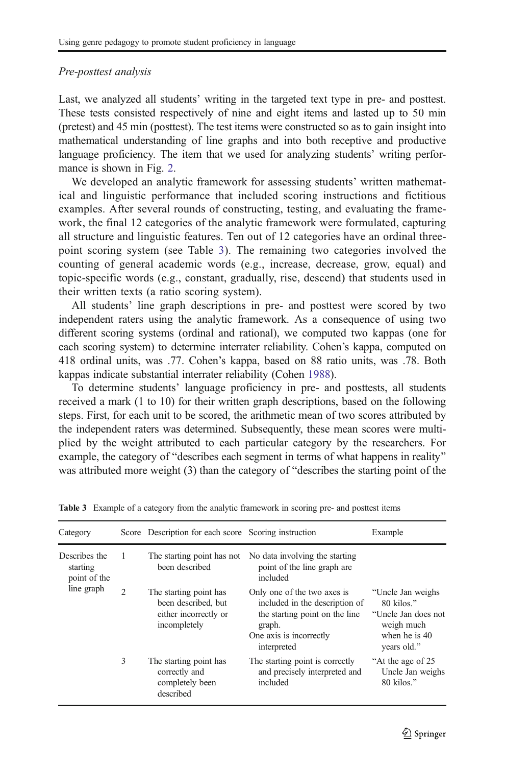#### Pre-posttest analysis

Last, we analyzed all students' writing in the targeted text type in pre- and posttest. These tests consisted respectively of nine and eight items and lasted up to 50 min (pretest) and 45 min (posttest). The test items were constructed so as to gain insight into mathematical understanding of line graphs and into both receptive and productive language proficiency. The item that we used for analyzing students' writing performance is shown in Fig. [2.](#page-9-0)

We developed an analytic framework for assessing students' written mathematical and linguistic performance that included scoring instructions and fictitious examples. After several rounds of constructing, testing, and evaluating the framework, the final 12 categories of the analytic framework were formulated, capturing all structure and linguistic features. Ten out of 12 categories have an ordinal threepoint scoring system (see Table 3). The remaining two categories involved the counting of general academic words (e.g., increase, decrease, grow, equal) and topic-specific words (e.g., constant, gradually, rise, descend) that students used in their written texts (a ratio scoring system).

All students' line graph descriptions in pre- and posttest were scored by two independent raters using the analytic framework. As a consequence of using two different scoring systems (ordinal and rational), we computed two kappas (one for each scoring system) to determine interrater reliability. Cohen's kappa, computed on 418 ordinal units, was .77. Cohen's kappa, based on 88 ratio units, was .78. Both kappas indicate substantial interrater reliability (Cohen [1988\)](#page-19-0).

To determine students' language proficiency in pre- and posttests, all students received a mark (1 to 10) for their written graph descriptions, based on the following steps. First, for each unit to be scored, the arithmetic mean of two scores attributed by the independent raters was determined. Subsequently, these mean scores were multiplied by the weight attributed to each particular category by the researchers. For example, the category of "describes each segment in terms of what happens in reality" was attributed more weight  $(3)$  than the category of "describes the starting point of the

| Category                                  |                | Score Description for each score Scoring instruction                                   |                                                                                                                                                     | Example                                                                                                |
|-------------------------------------------|----------------|----------------------------------------------------------------------------------------|-----------------------------------------------------------------------------------------------------------------------------------------------------|--------------------------------------------------------------------------------------------------------|
| Describes the<br>starting<br>point of the | 1              | The starting point has not<br>been described                                           | No data involving the starting<br>point of the line graph are<br>included                                                                           |                                                                                                        |
| line graph                                | $\mathfrak{D}$ | The starting point has<br>been described, but<br>either incorrectly or<br>incompletely | Only one of the two axes is<br>included in the description of<br>the starting point on the line<br>graph.<br>One axis is incorrectly<br>interpreted | "Uncle Jan weighs<br>80 kilos."<br>"Uncle Jan does not<br>weigh much<br>when he is $40$<br>vears old." |
|                                           | 3              | The starting point has<br>correctly and<br>completely been<br>described                | The starting point is correctly<br>and precisely interpreted and<br>included                                                                        | "At the age of 25"<br>Uncle Jan weighs<br>80 kilos."                                                   |

Table 3 Example of a category from the analytic framework in scoring pre- and posttest items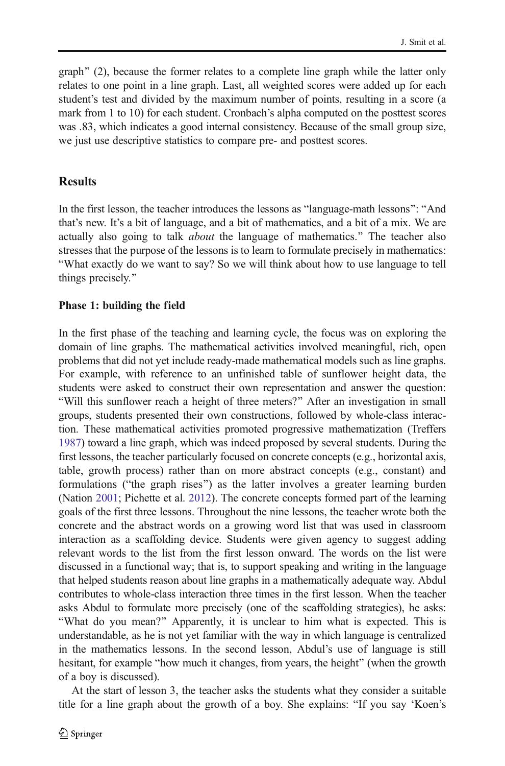graph" (2), because the former relates to a complete line graph while the latter only relates to one point in a line graph. Last, all weighted scores were added up for each student's test and divided by the maximum number of points, resulting in a score (a mark from 1 to 10) for each student. Cronbach's alpha computed on the posttest scores was .83, which indicates a good internal consistency. Because of the small group size, we just use descriptive statistics to compare pre- and posttest scores.

## **Results**

In the first lesson, the teacher introduces the lessons as "language-math lessons": "And that's new. It's a bit of language, and a bit of mathematics, and a bit of a mix. We are actually also going to talk *about* the language of mathematics." The teacher also stresses that the purpose of the lessons is to learn to formulate precisely in mathematics: BWhat exactly do we want to say? So we will think about how to use language to tell things precisely."

### Phase 1: building the field

In the first phase of the teaching and learning cycle, the focus was on exploring the domain of line graphs. The mathematical activities involved meaningful, rich, open problems that did not yet include ready-made mathematical models such as line graphs. For example, with reference to an unfinished table of sunflower height data, the students were asked to construct their own representation and answer the question: "Will this sunflower reach a height of three meters?" After an investigation in small groups, students presented their own constructions, followed by whole-class interaction. These mathematical activities promoted progressive mathematization (Treffers [1987\)](#page-21-0) toward a line graph, which was indeed proposed by several students. During the first lessons, the teacher particularly focused on concrete concepts (e.g., horizontal axis, table, growth process) rather than on more abstract concepts (e.g., constant) and formulations ("the graph rises") as the latter involves a greater learning burden (Nation [2001;](#page-20-0) Pichette et al. [2012\)](#page-20-0). The concrete concepts formed part of the learning goals of the first three lessons. Throughout the nine lessons, the teacher wrote both the concrete and the abstract words on a growing word list that was used in classroom interaction as a scaffolding device. Students were given agency to suggest adding relevant words to the list from the first lesson onward. The words on the list were discussed in a functional way; that is, to support speaking and writing in the language that helped students reason about line graphs in a mathematically adequate way. Abdul contributes to whole-class interaction three times in the first lesson. When the teacher asks Abdul to formulate more precisely (one of the scaffolding strategies), he asks: "What do you mean?" Apparently, it is unclear to him what is expected. This is understandable, as he is not yet familiar with the way in which language is centralized in the mathematics lessons. In the second lesson, Abdul's use of language is still hesitant, for example "how much it changes, from years, the height" (when the growth of a boy is discussed).

At the start of lesson 3, the teacher asks the students what they consider a suitable title for a line graph about the growth of a boy. She explains: "If you say 'Koen's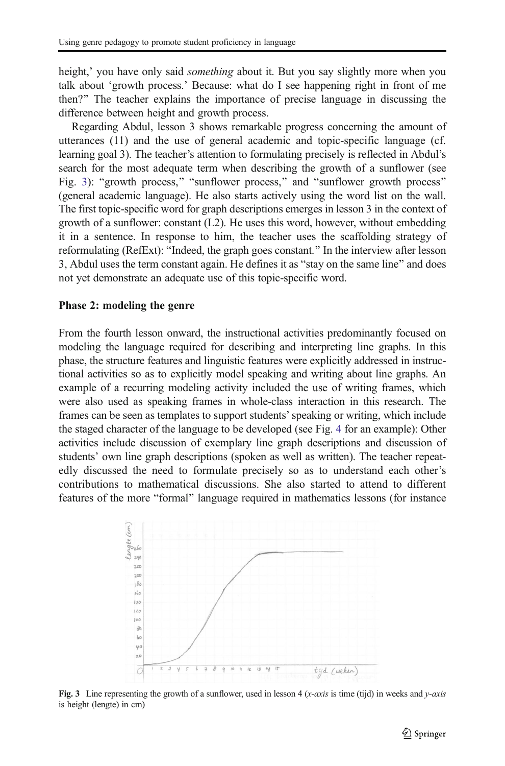<span id="page-12-0"></span>height,' you have only said *something* about it. But you say slightly more when you talk about 'growth process.' Because: what do I see happening right in front of me then?^ The teacher explains the importance of precise language in discussing the difference between height and growth process.

Regarding Abdul, lesson 3 shows remarkable progress concerning the amount of utterances (11) and the use of general academic and topic-specific language (cf. learning goal 3). The teacher's attention to formulating precisely is reflected in Abdul's search for the most adequate term when describing the growth of a sunflower (see Fig. 3): "growth process," "sunflower process," and "sunflower growth process" (general academic language). He also starts actively using the word list on the wall. The first topic-specific word for graph descriptions emerges in lesson 3 in the context of growth of a sunflower: constant (L2). He uses this word, however, without embedding it in a sentence. In response to him, the teacher uses the scaffolding strategy of reformulating (RefExt): "Indeed, the graph goes constant." In the interview after lesson 3, Abdul uses the term constant again. He defines it as "stay on the same line" and does not yet demonstrate an adequate use of this topic-specific word.

#### Phase 2: modeling the genre

From the fourth lesson onward, the instructional activities predominantly focused on modeling the language required for describing and interpreting line graphs. In this phase, the structure features and linguistic features were explicitly addressed in instructional activities so as to explicitly model speaking and writing about line graphs. An example of a recurring modeling activity included the use of writing frames, which were also used as speaking frames in whole-class interaction in this research. The frames can be seen as templates to support students'speaking or writing, which include the staged character of the language to be developed (see Fig. [4](#page-13-0) for an example): Other activities include discussion of exemplary line graph descriptions and discussion of students' own line graph descriptions (spoken as well as written). The teacher repeatedly discussed the need to formulate precisely so as to understand each other's contributions to mathematical discussions. She also started to attend to different features of the more "formal" language required in mathematics lessons (for instance



Fig. 3 Line representing the growth of a sunflower, used in lesson 4 (x-axis is time (tijd) in weeks and y-axis is height (lengte) in cm)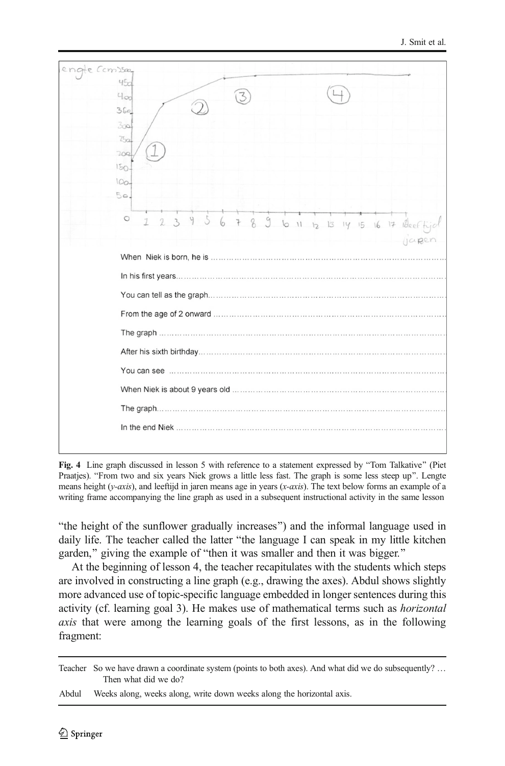<span id="page-13-0"></span>

Fig. 4 Line graph discussed in lesson 5 with reference to a statement expressed by "Tom Talkative" (Piet Praatjes). "From two and six years Niek grows a little less fast. The graph is some less steep up". Lengte means height (y-axis), and leeftijd in jaren means age in years (x-axis). The text below forms an example of a writing frame accompanying the line graph as used in a subsequent instructional activity in the same lesson

Bthe height of the sunflower gradually increases^) and the informal language used in daily life. The teacher called the latter "the language I can speak in my little kitchen garden," giving the example of "then it was smaller and then it was bigger."

At the beginning of lesson 4, the teacher recapitulates with the students which steps are involved in constructing a line graph (e.g., drawing the axes). Abdul shows slightly more advanced use of topic-specific language embedded in longer sentences during this activity (cf. learning goal 3). He makes use of mathematical terms such as horizontal axis that were among the learning goals of the first lessons, as in the following fragment:

Teacher So we have drawn a coordinate system (points to both axes). And what did we do subsequently? … Then what did we do?

Abdul Weeks along, weeks along, write down weeks along the horizontal axis.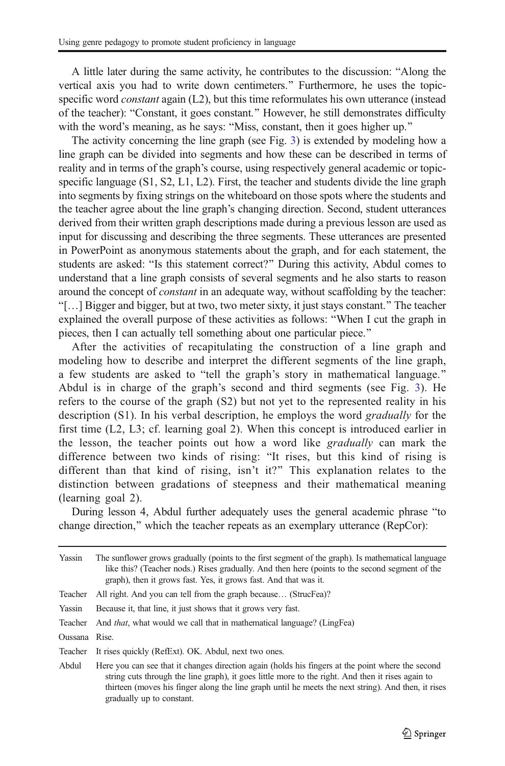A little later during the same activity, he contributes to the discussion: "Along the vertical axis you had to write down centimeters." Furthermore, he uses the topicspecific word *constant* again (L2), but this time reformulates his own utterance (instead of the teacher): "Constant, it goes constant." However, he still demonstrates difficulty with the word's meaning, as he says: "Miss, constant, then it goes higher up."

The activity concerning the line graph (see Fig. [3\)](#page-12-0) is extended by modeling how a line graph can be divided into segments and how these can be described in terms of reality and in terms of the graph's course, using respectively general academic or topicspecific language (S1, S2, L1, L2). First, the teacher and students divide the line graph into segments by fixing strings on the whiteboard on those spots where the students and the teacher agree about the line graph's changing direction. Second, student utterances derived from their written graph descriptions made during a previous lesson are used as input for discussing and describing the three segments. These utterances are presented in PowerPoint as anonymous statements about the graph, and for each statement, the students are asked: "Is this statement correct?" During this activity, Abdul comes to understand that a line graph consists of several segments and he also starts to reason around the concept of *constant* in an adequate way, without scaffolding by the teacher: B[…] Bigger and bigger, but at two, two meter sixty, it just stays constant.^ The teacher explained the overall purpose of these activities as follows: "When I cut the graph in pieces, then I can actually tell something about one particular piece.<sup>"</sup>

After the activities of recapitulating the construction of a line graph and modeling how to describe and interpret the different segments of the line graph, a few students are asked to "tell the graph's story in mathematical language." Abdul is in charge of the graph's second and third segments (see Fig. [3](#page-12-0)). He refers to the course of the graph (S2) but not yet to the represented reality in his description (S1). In his verbal description, he employs the word gradually for the first time (L2, L3; cf. learning goal 2). When this concept is introduced earlier in the lesson, the teacher points out how a word like *gradually* can mark the difference between two kinds of rising: "It rises, but this kind of rising is different than that kind of rising, isn't it?^ This explanation relates to the distinction between gradations of steepness and their mathematical meaning (learning goal 2).

During lesson 4, Abdul further adequately uses the general academic phrase "to change direction," which the teacher repeats as an exemplary utterance (RepCor):

| Yassin        | The sunflower grows gradually (points to the first segment of the graph). Is mathematical language<br>like this? (Teacher nods.) Rises gradually. And then here (points to the second segment of the<br>graph), then it grows fast. Yes, it grows fast. And that was it.                                                                   |  |
|---------------|--------------------------------------------------------------------------------------------------------------------------------------------------------------------------------------------------------------------------------------------------------------------------------------------------------------------------------------------|--|
| Teacher       | All right. And you can tell from the graph because (StrucFea)?                                                                                                                                                                                                                                                                             |  |
| Yassin        | Because it, that line, it just shows that it grows very fast.                                                                                                                                                                                                                                                                              |  |
| Teacher       | And <i>that</i> , what would we call that in mathematical language? (LingFea)                                                                                                                                                                                                                                                              |  |
| Oussana Rise. |                                                                                                                                                                                                                                                                                                                                            |  |
| Teacher       | It rises quickly (RefExt). OK. Abdul, next two ones.                                                                                                                                                                                                                                                                                       |  |
| Abdul         | Here you can see that it changes direction again (holds his fingers at the point where the second<br>string cuts through the line graph), it goes little more to the right. And then it rises again to<br>thirteen (moves his finger along the line graph until he meets the next string). And then, it rises<br>gradually up to constant. |  |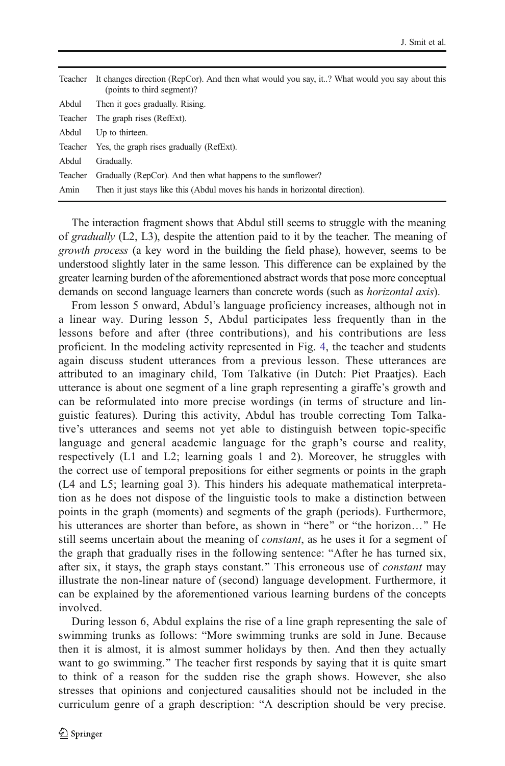| Teacher | It changes direction (RepCor). And then what would you say, it? What would you say about this<br>(points to third segment)? |  |
|---------|-----------------------------------------------------------------------------------------------------------------------------|--|
| Abdul   | Then it goes gradually. Rising.                                                                                             |  |
| Teacher | The graph rises (RefExt).                                                                                                   |  |
| Abdul   | Up to thirteen.                                                                                                             |  |
| Teacher | Yes, the graph rises gradually (RefExt).                                                                                    |  |
| Abdul   | Gradually.                                                                                                                  |  |
| Teacher | Gradually (RepCor). And then what happens to the sunflower?                                                                 |  |
| Amin    | Then it just stays like this (Abdul moves his hands in horizontal direction).                                               |  |
|         |                                                                                                                             |  |

The interaction fragment shows that Abdul still seems to struggle with the meaning of *gradually*  $(L2, L3)$ , despite the attention paid to it by the teacher. The meaning of growth process (a key word in the building the field phase), however, seems to be understood slightly later in the same lesson. This difference can be explained by the greater learning burden of the aforementioned abstract words that pose more conceptual demands on second language learners than concrete words (such as *horizontal axis*).

From lesson 5 onward, Abdul's language proficiency increases, although not in a linear way. During lesson 5, Abdul participates less frequently than in the lessons before and after (three contributions), and his contributions are less proficient. In the modeling activity represented in Fig. [4,](#page-13-0) the teacher and students again discuss student utterances from a previous lesson. These utterances are attributed to an imaginary child, Tom Talkative (in Dutch: Piet Praatjes). Each utterance is about one segment of a line graph representing a giraffe's growth and can be reformulated into more precise wordings (in terms of structure and linguistic features). During this activity, Abdul has trouble correcting Tom Talkative's utterances and seems not yet able to distinguish between topic-specific language and general academic language for the graph's course and reality, respectively (L1 and L2; learning goals 1 and 2). Moreover, he struggles with the correct use of temporal prepositions for either segments or points in the graph (L4 and L5; learning goal 3). This hinders his adequate mathematical interpretation as he does not dispose of the linguistic tools to make a distinction between points in the graph (moments) and segments of the graph (periods). Furthermore, his utterances are shorter than before, as shown in "here" or "the horizon..." He still seems uncertain about the meaning of *constant*, as he uses it for a segment of the graph that gradually rises in the following sentence: "After he has turned six, after six, it stays, the graph stays constant." This erroneous use of *constant* may illustrate the non-linear nature of (second) language development. Furthermore, it can be explained by the aforementioned various learning burdens of the concepts involved.

During lesson 6, Abdul explains the rise of a line graph representing the sale of swimming trunks as follows: "More swimming trunks are sold in June. Because then it is almost, it is almost summer holidays by then. And then they actually want to go swimming." The teacher first responds by saying that it is quite smart to think of a reason for the sudden rise the graph shows. However, she also stresses that opinions and conjectured causalities should not be included in the curriculum genre of a graph description: "A description should be very precise.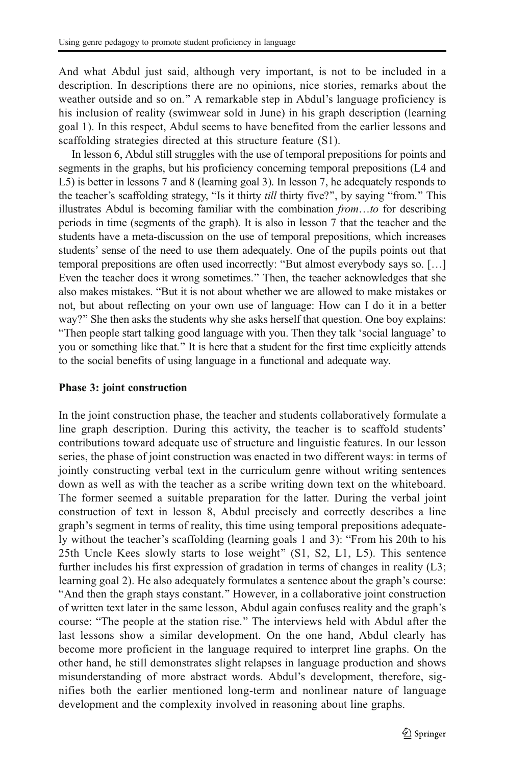And what Abdul just said, although very important, is not to be included in a description. In descriptions there are no opinions, nice stories, remarks about the weather outside and so on." A remarkable step in Abdul's language proficiency is his inclusion of reality (swimwear sold in June) in his graph description (learning goal 1). In this respect, Abdul seems to have benefited from the earlier lessons and scaffolding strategies directed at this structure feature (S1).

In lesson 6, Abdul still struggles with the use of temporal prepositions for points and segments in the graphs, but his proficiency concerning temporal prepositions (L4 and L5) is better in lessons 7 and 8 (learning goal 3). In lesson 7, he adequately responds to the teacher's scaffolding strategy, "Is it thirty *till* thirty five?", by saying "from." This illustrates Abdul is becoming familiar with the combination  $from...to$  for describing periods in time (segments of the graph). It is also in lesson 7 that the teacher and the students have a meta-discussion on the use of temporal prepositions, which increases students' sense of the need to use them adequately. One of the pupils points out that temporal prepositions are often used incorrectly: "But almost everybody says so. [...] Even the teacher does it wrong sometimes." Then, the teacher acknowledges that she also makes mistakes. "But it is not about whether we are allowed to make mistakes or not, but about reflecting on your own use of language: How can I do it in a better way?" She then asks the students why she asks herself that question. One boy explains: "Then people start talking good language with you. Then they talk 'social language' to you or something like that." It is here that a student for the first time explicitly attends to the social benefits of using language in a functional and adequate way.

#### Phase 3: joint construction

In the joint construction phase, the teacher and students collaboratively formulate a line graph description. During this activity, the teacher is to scaffold students' contributions toward adequate use of structure and linguistic features. In our lesson series, the phase of joint construction was enacted in two different ways: in terms of jointly constructing verbal text in the curriculum genre without writing sentences down as well as with the teacher as a scribe writing down text on the whiteboard. The former seemed a suitable preparation for the latter. During the verbal joint construction of text in lesson 8, Abdul precisely and correctly describes a line graph's segment in terms of reality, this time using temporal prepositions adequately without the teacher's scaffolding (learning goals 1 and 3): "From his 20th to his 25th Uncle Kees slowly starts to lose weight" (S1, S2, L1, L5). This sentence further includes his first expression of gradation in terms of changes in reality (L3; learning goal 2). He also adequately formulates a sentence about the graph's course: "And then the graph stays constant." However, in a collaborative joint construction of written text later in the same lesson, Abdul again confuses reality and the graph's course: "The people at the station rise." The interviews held with Abdul after the last lessons show a similar development. On the one hand, Abdul clearly has become more proficient in the language required to interpret line graphs. On the other hand, he still demonstrates slight relapses in language production and shows misunderstanding of more abstract words. Abdul's development, therefore, signifies both the earlier mentioned long-term and nonlinear nature of language development and the complexity involved in reasoning about line graphs.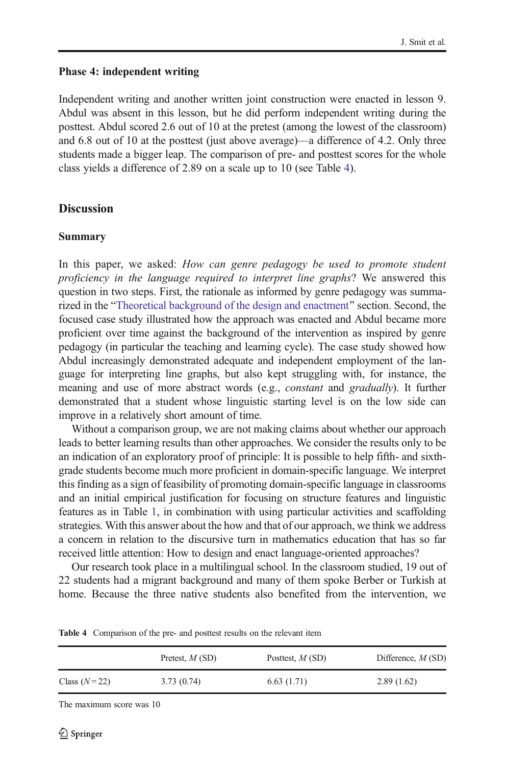#### Phase 4: independent writing

Independent writing and another written joint construction were enacted in lesson 9. Abdul was absent in this lesson, but he did perform independent writing during the posttest. Abdul scored 2.6 out of 10 at the pretest (among the lowest of the classroom) and 6.8 out of 10 at the posttest (just above average)—a difference of 4.2. Only three students made a bigger leap. The comparison of pre- and posttest scores for the whole class yields a difference of 2.89 on a scale up to 10 (see Table 4).

### **Discussion**

#### Summary

In this paper, we asked: How can genre pedagogy be used to promote student proficiency in the language required to interpret line graphs? We answered this question in two steps. First, the rationale as informed by genre pedagogy was summa-rized in the "[Theoretical background of the design and enactment](#page-1-0)" section. Second, the focused case study illustrated how the approach was enacted and Abdul became more proficient over time against the background of the intervention as inspired by genre pedagogy (in particular the teaching and learning cycle). The case study showed how Abdul increasingly demonstrated adequate and independent employment of the language for interpreting line graphs, but also kept struggling with, for instance, the meaning and use of more abstract words (e.g., *constant* and *gradually*). It further demonstrated that a student whose linguistic starting level is on the low side can improve in a relatively short amount of time.

Without a comparison group, we are not making claims about whether our approach leads to better learning results than other approaches. We consider the results only to be an indication of an exploratory proof of principle: It is possible to help fifth- and sixthgrade students become much more proficient in domain-specific language. We interpret this finding as a sign of feasibility of promoting domain-specific language in classrooms and an initial empirical justification for focusing on structure features and linguistic features as in Table [1,](#page-5-0) in combination with using particular activities and scaffolding strategies. With this answer about the how and that of our approach, we think we address a concern in relation to the discursive turn in mathematics education that has so far received little attention: How to design and enact language-oriented approaches?

Our research took place in a multilingual school. In the classroom studied, 19 out of 22 students had a migrant background and many of them spoke Berber or Turkish at home. Because the three native students also benefited from the intervention, we

|                | Pretest, $M(SD)$ | Posttest, $M(SD)$ | Difference, $M(SD)$ |
|----------------|------------------|-------------------|---------------------|
| Class $(N=22)$ | 3.73(0.74)       | 6.63(1.71)        | 2.89(1.62)          |

Table 4 Comparison of the pre- and posttest results on the relevant item

The maximum score was 10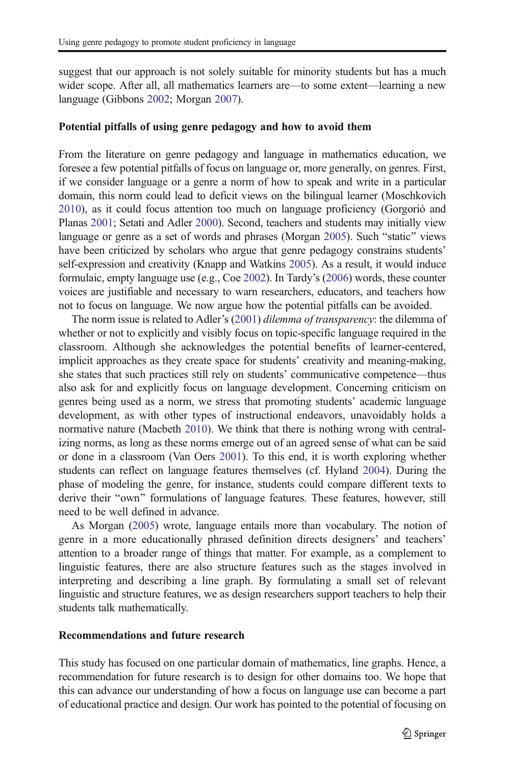suggest that our approach is not solely suitable for minority students but has a much wider scope. After all, all mathematics learners are—to some extent—learning a new language (Gibbons [2002;](#page-19-0) Morgan [2007](#page-20-0)).

#### Potential pitfalls of using genre pedagogy and how to avoid them

From the literature on genre pedagogy and language in mathematics education, we foresee a few potential pitfalls of focus on language or, more generally, on genres. First, if we consider language or a genre a norm of how to speak and write in a particular domain, this norm could lead to deficit views on the bilingual learner (Moschkovich [2010\)](#page-20-0), as it could focus attention too much on language proficiency (Gorgorió and Planas [2001;](#page-19-0) Setati and Adler [2000\)](#page-20-0). Second, teachers and students may initially view language or genre as a set of words and phrases (Morgan [2005\)](#page-20-0). Such "static" views have been criticized by scholars who argue that genre pedagogy constrains students' self-expression and creativity (Knapp and Watkins [2005](#page-20-0)). As a result, it would induce formulaic, empty language use (e.g., Coe [2002](#page-19-0)). In Tardy's ([2006](#page-21-0)) words, these counter voices are justifiable and necessary to warn researchers, educators, and teachers how not to focus on language. We now argue how the potential pitfalls can be avoided.

The norm issue is related to Adler's [\(2001\)](#page-19-0) dilemma of transparency: the dilemma of whether or not to explicitly and visibly focus on topic-specific language required in the classroom. Although she acknowledges the potential benefits of learner-centered, implicit approaches as they create space for students' creativity and meaning-making, she states that such practices still rely on students' communicative competence—thus also ask for and explicitly focus on language development. Concerning criticism on genres being used as a norm, we stress that promoting students' academic language development, as with other types of instructional endeavors, unavoidably holds a normative nature (Macbeth [2010](#page-20-0)). We think that there is nothing wrong with centralizing norms, as long as these norms emerge out of an agreed sense of what can be said or done in a classroom (Van Oers [2001\)](#page-21-0). To this end, it is worth exploring whether students can reflect on language features themselves (cf. Hyland [2004](#page-20-0)). During the phase of modeling the genre, for instance, students could compare different texts to derive their "own" formulations of language features. These features, however, still need to be well defined in advance.

As Morgan [\(2005\)](#page-20-0) wrote, language entails more than vocabulary. The notion of genre in a more educationally phrased definition directs designers' and teachers' attention to a broader range of things that matter. For example, as a complement to linguistic features, there are also structure features such as the stages involved in interpreting and describing a line graph. By formulating a small set of relevant linguistic and structure features, we as design researchers support teachers to help their students talk mathematically.

#### Recommendations and future research

This study has focused on one particular domain of mathematics, line graphs. Hence, a recommendation for future research is to design for other domains too. We hope that this can advance our understanding of how a focus on language use can become a part of educational practice and design. Our work has pointed to the potential of focusing on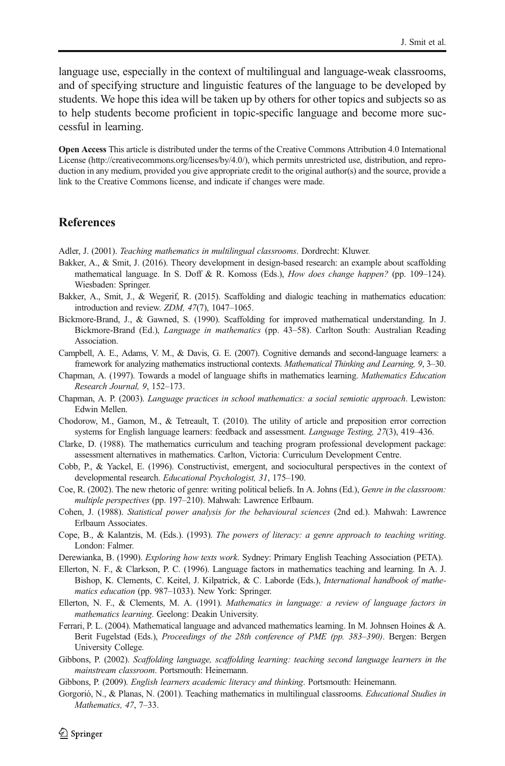<span id="page-19-0"></span>language use, especially in the context of multilingual and language-weak classrooms, and of specifying structure and linguistic features of the language to be developed by students. We hope this idea will be taken up by others for other topics and subjects so as to help students become proficient in topic-specific language and become more successful in learning.

Open Access This article is distributed under the terms of the Creative Commons Attribution 4.0 International License (http://creativecommons.org/licenses/by/4.0/), which permits unrestricted use, distribution, and reproduction in any medium, provided you give appropriate credit to the original author(s) and the source, provide a link to the Creative Commons license, and indicate if changes were made.

#### **References**

Adler, J. (2001). Teaching mathematics in multilingual classrooms. Dordrecht: Kluwer.

- Bakker, A., & Smit, J. (2016). Theory development in design-based research: an example about scaffolding mathematical language. In S. Doff & R. Komoss (Eds.), How does change happen? (pp. 109–124). Wiesbaden: Springer.
- Bakker, A., Smit, J., & Wegerif, R. (2015). Scaffolding and dialogic teaching in mathematics education: introduction and review. ZDM, 47(7), 1047–1065.
- Bickmore-Brand, J., & Gawned, S. (1990). Scaffolding for improved mathematical understanding. In J. Bickmore-Brand (Ed.), Language in mathematics (pp. 43–58). Carlton South: Australian Reading Association.
- Campbell, A. E., Adams, V. M., & Davis, G. E. (2007). Cognitive demands and second-language learners: a framework for analyzing mathematics instructional contexts. Mathematical Thinking and Learning, 9, 3–30.
- Chapman, A. (1997). Towards a model of language shifts in mathematics learning. Mathematics Education Research Journal, 9, 152–173.
- Chapman, A. P. (2003). Language practices in school mathematics: a social semiotic approach. Lewiston: Edwin Mellen.
- Chodorow, M., Gamon, M., & Tetreault, T. (2010). The utility of article and preposition error correction systems for English language learners: feedback and assessment. Language Testing, 27(3), 419–436.
- Clarke, D. (1988). The mathematics curriculum and teaching program professional development package: assessment alternatives in mathematics. Carlton, Victoria: Curriculum Development Centre.
- Cobb, P., & Yackel, E. (1996). Constructivist, emergent, and sociocultural perspectives in the context of developmental research. Educational Psychologist, 31, 175–190.
- Coe, R. (2002). The new rhetoric of genre: writing political beliefs. In A. Johns (Ed.), Genre in the classroom: multiple perspectives (pp. 197–210). Mahwah: Lawrence Erlbaum.
- Cohen, J. (1988). Statistical power analysis for the behavioural sciences (2nd ed.). Mahwah: Lawrence Erlbaum Associates.
- Cope, B., & Kalantzis, M. (Eds.). (1993). The powers of literacy: a genre approach to teaching writing. London: Falmer.
- Derewianka, B. (1990). Exploring how texts work. Sydney: Primary English Teaching Association (PETA).
- Ellerton, N. F., & Clarkson, P. C. (1996). Language factors in mathematics teaching and learning. In A. J. Bishop, K. Clements, C. Keitel, J. Kilpatrick, & C. Laborde (Eds.), International handbook of mathematics education (pp. 987–1033). New York: Springer.
- Ellerton, N. F., & Clements, M. A. (1991). Mathematics in language: a review of language factors in mathematics learning. Geelong: Deakin University.
- Ferrari, P. L. (2004). Mathematical language and advanced mathematics learning. In M. Johnsen Hoines & A. Berit Fugelstad (Eds.), Proceedings of the 28th conference of PME (pp. 383–390). Bergen: Bergen University College.
- Gibbons, P. (2002). Scaffolding language, scaffolding learning: teaching second language learners in the mainstream classroom. Portsmouth: Heinemann.
- Gibbons, P. (2009). English learners academic literacy and thinking. Portsmouth: Heinemann.
- Gorgorió, N., & Planas, N. (2001). Teaching mathematics in multilingual classrooms. Educational Studies in Mathematics, 47, 7–33.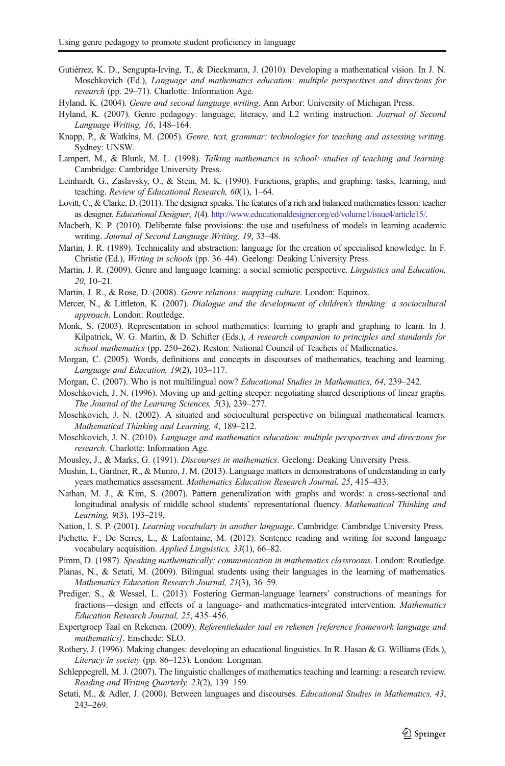- <span id="page-20-0"></span>Gutiérrez, K. D., Sengupta-Irving, T., & Dieckmann, J. (2010). Developing a mathematical vision. In J. N. Moschkovich (Ed.), Language and mathematics education: multiple perspectives and directions for research (pp. 29–71). Charlotte: Information Age.
- Hyland, K. (2004). Genre and second language writing. Ann Arbor: University of Michigan Press.
- Hyland, K. (2007). Genre pedagogy: language, literacy, and L2 writing instruction. *Journal of Second* Language Writing, 16, 148–164.
- Knapp, P., & Watkins, M. (2005). Genre, text, grammar: technologies for teaching and assessing writing. Sydney: UNSW.
- Lampert, M., & Blunk, M. L. (1998). Talking mathematics in school: studies of teaching and learning. Cambridge: Cambridge University Press.
- Leinhardt, G., Zaslavsky, O., & Stein, M. K. (1990). Functions, graphs, and graphing: tasks, learning, and teaching. Review of Educational Research, 60(1), 1–64.
- Lovitt, C., & Clarke, D. (2011). The designer speaks. The features of a rich and balanced mathematics lesson: teacher as designer. Educational Designer, 1(4). <http://www.educationaldesigner.org/ed/volume1/issue4/article15/>.
- Macbeth, K. P. (2010). Deliberate false provisions: the use and usefulness of models in learning academic writing. Journal of Second Language Writing, 19, 33–48.
- Martin, J. R. (1989). Technicality and abstraction: language for the creation of specialised knowledge. In F. Christie (Ed.), Writing in schools (pp. 36–44). Geelong: Deaking University Press.
- Martin, J. R. (2009). Genre and language learning: a social semiotic perspective. *Linguistics and Education*, 20, 10–21.
- Martin, J. R., & Rose, D. (2008). Genre relations: mapping culture. London: Equinox.
- Mercer, N., & Littleton, K. (2007). Dialogue and the development of children's thinking: a sociocultural approach. London: Routledge.
- Monk, S. (2003). Representation in school mathematics: learning to graph and graphing to learn. In J. Kilpatrick, W. G. Martin, & D. Schifter (Eds.), A research companion to principles and standards for school mathematics (pp. 250–262). Reston: National Council of Teachers of Mathematics.
- Morgan, C. (2005). Words, definitions and concepts in discourses of mathematics, teaching and learning. Language and Education, 19(2), 103–117.
- Morgan, C. (2007). Who is not multilingual now? Educational Studies in Mathematics, 64, 239–242.
- Moschkovich, J. N. (1996). Moving up and getting steeper: negotiating shared descriptions of linear graphs. The Journal of the Learning Sciences, 5(3), 239–277.
- Moschkovich, J. N. (2002). A situated and sociocultural perspective on bilingual mathematical learners. Mathematical Thinking and Learning, 4, 189–212.
- Moschkovich, J. N. (2010). Language and mathematics education: multiple perspectives and directions for research. Charlotte: Information Age.
- Mousley, J., & Marks, G. (1991). Discourses in mathematics. Geelong: Deaking University Press.
- Mushin, I., Gardner, R., & Munro, J. M. (2013). Language matters in demonstrations of understanding in early years mathematics assessment. Mathematics Education Research Journal, 25, 415–433.
- Nathan, M. J., & Kim, S. (2007). Pattern generalization with graphs and words: a cross-sectional and longitudinal analysis of middle school students' representational fluency. Mathematical Thinking and Learning, 9(3), 193–219.
- Nation, I. S. P. (2001). Learning vocabulary in another language. Cambridge: Cambridge University Press.
- Pichette, F., De Serres, L., & Lafontaine, M. (2012). Sentence reading and writing for second language vocabulary acquisition. Applied Linguistics, 33(1), 66–82.
- Pimm, D. (1987). Speaking mathematically: communication in mathematics classrooms. London: Routledge.
- Planas, N., & Setati, M. (2009). Bilingual students using their languages in the learning of mathematics. Mathematics Education Research Journal, 21(3), 36–59.
- Prediger, S., & Wessel, L. (2013). Fostering German-language learners' constructions of meanings for fractions—design and effects of a language- and mathematics-integrated intervention. Mathematics Education Research Journal, 25, 435–456.
- Expertgroep Taal en Rekenen. (2009). Referentiekader taal en rekenen [reference framework language and mathematics]. Enschede: SLO.
- Rothery, J. (1996). Making changes: developing an educational linguistics. In R. Hasan & G. Williams (Eds.), Literacy in society (pp. 86–123). London: Longman.
- Schleppegrell, M. J. (2007). The linguistic challenges of mathematics teaching and learning: a research review. Reading and Writing Quarterly, 23(2), 139–159.
- Setati, M., & Adler, J. (2000). Between languages and discourses. *Educational Studies in Mathematics*, 43, 243–269.